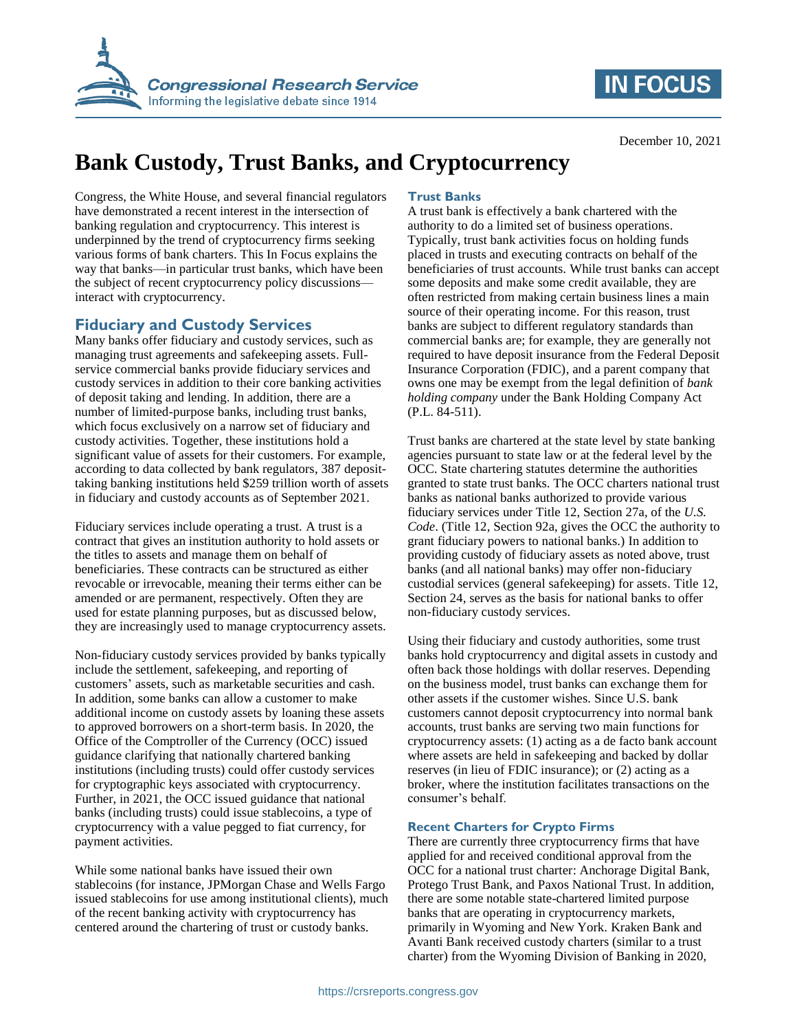

## **IN FOCUS**

#### December 10, 2021

# **Bank Custody, Trust Banks, and Cryptocurrency**

Congress, the White House, and several financial regulators have demonstrated a recent interest in the intersection of banking regulation and cryptocurrency. This interest is underpinned by the trend of cryptocurrency firms seeking various forms of bank charters. This In Focus explains the way that banks—in particular trust banks, which have been the subject of recent cryptocurrency policy discussions interact with cryptocurrency.

### **Fiduciary and Custody Services**

Many banks offer fiduciary and custody services, such as managing trust agreements and safekeeping assets. Fullservice commercial banks provide fiduciary services and custody services in addition to their core banking activities of deposit taking and lending. In addition, there are a number of limited-purpose banks, including trust banks, which focus exclusively on a narrow set of fiduciary and custody activities. Together, these institutions hold a significant value of assets for their customers. For example, according to data collected by bank regulators, 387 deposittaking banking institutions held \$259 trillion worth of assets in fiduciary and custody accounts as of September 2021.

Fiduciary services include operating a trust. A trust is a contract that gives an institution authority to hold assets or the titles to assets and manage them on behalf of beneficiaries. These contracts can be structured as either revocable or irrevocable, meaning their terms either can be amended or are permanent, respectively. Often they are used for estate planning purposes, but as discussed below, they are increasingly used to manage cryptocurrency assets.

Non-fiduciary custody services provided by banks typically include the settlement, safekeeping, and reporting of customers' assets, such as marketable securities and cash. In addition, some banks can allow a customer to make additional income on custody assets by loaning these assets to approved borrowers on a short-term basis. In 2020, the Office of the Comptroller of the Currency (OCC) issued guidance clarifying that nationally chartered banking institutions (including trusts) could offer custody services for cryptographic keys associated with cryptocurrency. Further, in 2021, the OCC issued guidance that national banks (including trusts) could issue stablecoins, a type of cryptocurrency with a value pegged to fiat currency, for payment activities.

While some national banks have issued their own stablecoins (for instance, JPMorgan Chase and Wells Fargo issued stablecoins for use among institutional clients), much of the recent banking activity with cryptocurrency has centered around the chartering of trust or custody banks.

#### **Trust Banks**

A trust bank is effectively a bank chartered with the authority to do a limited set of business operations. Typically, trust bank activities focus on holding funds placed in trusts and executing contracts on behalf of the beneficiaries of trust accounts. While trust banks can accept some deposits and make some credit available, they are often restricted from making certain business lines a main source of their operating income. For this reason, trust banks are subject to different regulatory standards than commercial banks are; for example, they are generally not required to have deposit insurance from the Federal Deposit Insurance Corporation (FDIC), and a parent company that owns one may be exempt from the legal definition of *bank holding company* under the Bank Holding Company Act (P.L. 84-511).

Trust banks are chartered at the state level by state banking agencies pursuant to state law or at the federal level by the OCC. State chartering statutes determine the authorities granted to state trust banks. The OCC charters national trust banks as national banks authorized to provide various fiduciary services under Title 12, Section 27a, of the *U.S. Code*. (Title 12, Section 92a, gives the OCC the authority to grant fiduciary powers to national banks.) In addition to providing custody of fiduciary assets as noted above, trust banks (and all national banks) may offer non-fiduciary custodial services (general safekeeping) for assets. Title 12, Section 24, serves as the basis for national banks to offer non-fiduciary custody services.

Using their fiduciary and custody authorities, some trust banks hold cryptocurrency and digital assets in custody and often back those holdings with dollar reserves. Depending on the business model, trust banks can exchange them for other assets if the customer wishes. Since U.S. bank customers cannot deposit cryptocurrency into normal bank accounts, trust banks are serving two main functions for cryptocurrency assets: (1) acting as a de facto bank account where assets are held in safekeeping and backed by dollar reserves (in lieu of FDIC insurance); or (2) acting as a broker, where the institution facilitates transactions on the consumer's behalf.

#### **Recent Charters for Crypto Firms**

There are currently three cryptocurrency firms that have applied for and received conditional approval from the OCC for a national trust charter: Anchorage Digital Bank, Protego Trust Bank, and Paxos National Trust. In addition, there are some notable state-chartered limited purpose banks that are operating in cryptocurrency markets, primarily in Wyoming and New York. Kraken Bank and Avanti Bank received custody charters (similar to a trust charter) from the Wyoming Division of Banking in 2020,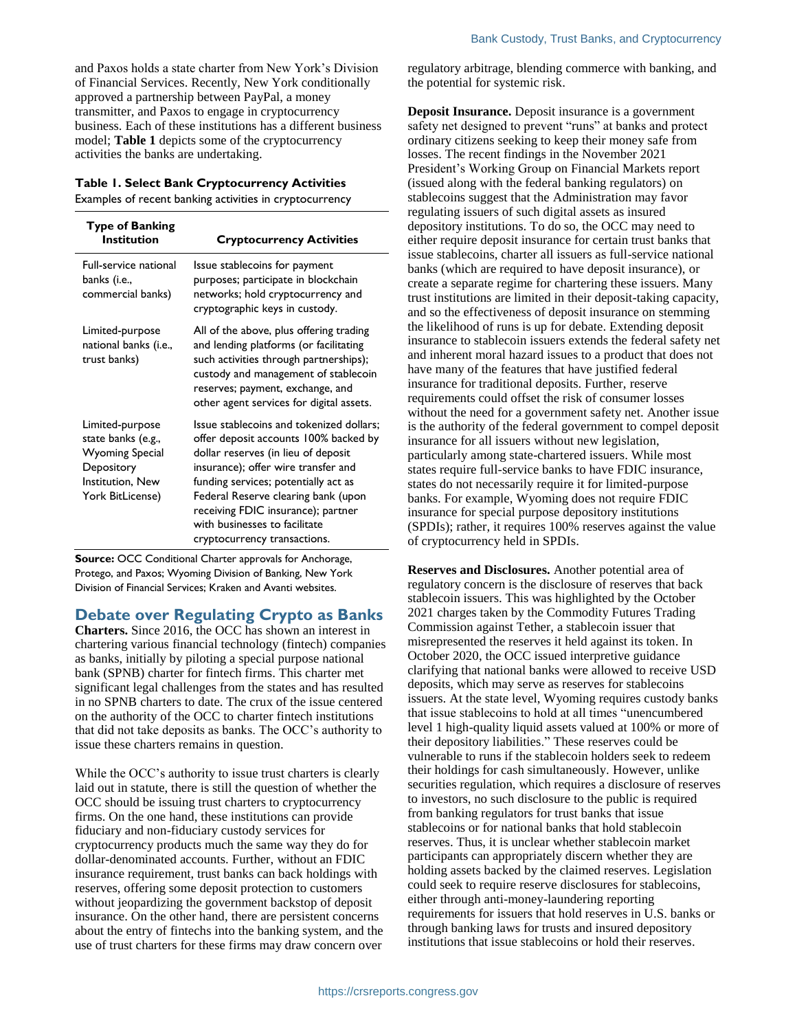and Paxos holds a state charter from New York's Division of Financial Services. Recently, New York conditionally approved a partnership between PayPal, a money transmitter, and Paxos to engage in cryptocurrency business. Each of these institutions has a different business model; **[Table 1](#page-1-0)** depicts some of the cryptocurrency activities the banks are undertaking.

#### <span id="page-1-0"></span>**Table 1. Select Bank Cryptocurrency Activities**

Examples of recent banking activities in cryptocurrency

| <b>Type of Banking</b><br>Institution                                                                                 | <b>Cryptocurrency Activities</b>                                                                                                                                                                                                                                                                                                                      |
|-----------------------------------------------------------------------------------------------------------------------|-------------------------------------------------------------------------------------------------------------------------------------------------------------------------------------------------------------------------------------------------------------------------------------------------------------------------------------------------------|
| <b>Full-service national</b><br>banks (i.e.,<br>commercial banks)                                                     | Issue stablecoins for payment<br>purposes; participate in blockchain<br>networks; hold cryptocurrency and<br>cryptographic keys in custody.                                                                                                                                                                                                           |
| Limited-purpose<br>national banks (i.e.,<br>trust banks)                                                              | All of the above, plus offering trading<br>and lending platforms (or facilitating<br>such activities through partnerships);<br>custody and management of stablecoin<br>reserves; payment, exchange, and<br>other agent services for digital assets.                                                                                                   |
| Limited-purpose<br>state banks (e.g.,<br><b>Wyoming Special</b><br>Depository<br>Institution, New<br>York BitLicense) | Issue stablecoins and tokenized dollars;<br>offer deposit accounts 100% backed by<br>dollar reserves (in lieu of deposit<br>insurance); offer wire transfer and<br>funding services; potentially act as<br>Federal Reserve clearing bank (upon<br>receiving FDIC insurance); partner<br>with businesses to facilitate<br>cryptocurrency transactions. |

**Source:** OCC Conditional Charter approvals for Anchorage, Protego, and Paxos; Wyoming Division of Banking, New York Division of Financial Services; Kraken and Avanti websites.

#### **Debate over Regulating Crypto as Banks**

**Charters.** Since 2016, the OCC has shown an interest in chartering various financial technology (fintech) companies as banks, initially by piloting a special purpose national bank (SPNB) charter for fintech firms. This charter met significant legal challenges from the states and has resulted in no SPNB charters to date. The crux of the issue centered on the authority of the OCC to charter fintech institutions that did not take deposits as banks. The OCC's authority to issue these charters remains in question.

While the OCC's authority to issue trust charters is clearly laid out in statute, there is still the question of whether the OCC should be issuing trust charters to cryptocurrency firms. On the one hand, these institutions can provide fiduciary and non-fiduciary custody services for cryptocurrency products much the same way they do for dollar-denominated accounts. Further, without an FDIC insurance requirement, trust banks can back holdings with reserves, offering some deposit protection to customers without jeopardizing the government backstop of deposit insurance. On the other hand, there are persistent concerns about the entry of fintechs into the banking system, and the use of trust charters for these firms may draw concern over

regulatory arbitrage, blending commerce with banking, and the potential for systemic risk.

**Deposit Insurance.** Deposit insurance is a government safety net designed to prevent "runs" at banks and protect ordinary citizens seeking to keep their money safe from losses. The recent findings in the November 2021 President's Working Group on Financial Markets report (issued along with the federal banking regulators) on stablecoins suggest that the Administration may favor regulating issuers of such digital assets as insured depository institutions. To do so, the OCC may need to either require deposit insurance for certain trust banks that issue stablecoins, charter all issuers as full-service national banks (which are required to have deposit insurance), or create a separate regime for chartering these issuers. Many trust institutions are limited in their deposit-taking capacity, and so the effectiveness of deposit insurance on stemming the likelihood of runs is up for debate. Extending deposit insurance to stablecoin issuers extends the federal safety net and inherent moral hazard issues to a product that does not have many of the features that have justified federal insurance for traditional deposits. Further, reserve requirements could offset the risk of consumer losses without the need for a government safety net. Another issue is the authority of the federal government to compel deposit insurance for all issuers without new legislation, particularly among state-chartered issuers. While most states require full-service banks to have FDIC insurance, states do not necessarily require it for limited-purpose banks. For example, Wyoming does not require FDIC insurance for special purpose depository institutions (SPDIs); rather, it requires 100% reserves against the value of cryptocurrency held in SPDIs.

**Reserves and Disclosures.** Another potential area of regulatory concern is the disclosure of reserves that back stablecoin issuers. This was highlighted by the October 2021 charges taken by the Commodity Futures Trading Commission against Tether, a stablecoin issuer that misrepresented the reserves it held against its token. In October 2020, the OCC issued interpretive guidance clarifying that national banks were allowed to receive USD deposits, which may serve as reserves for stablecoins issuers. At the state level, Wyoming requires custody banks that issue stablecoins to hold at all times "unencumbered level 1 high-quality liquid assets valued at 100% or more of their depository liabilities." These reserves could be vulnerable to runs if the stablecoin holders seek to redeem their holdings for cash simultaneously. However, unlike securities regulation, which requires a disclosure of reserves to investors, no such disclosure to the public is required from banking regulators for trust banks that issue stablecoins or for national banks that hold stablecoin reserves. Thus, it is unclear whether stablecoin market participants can appropriately discern whether they are holding assets backed by the claimed reserves. Legislation could seek to require reserve disclosures for stablecoins, either through anti-money-laundering reporting requirements for issuers that hold reserves in U.S. banks or through banking laws for trusts and insured depository institutions that issue stablecoins or hold their reserves.